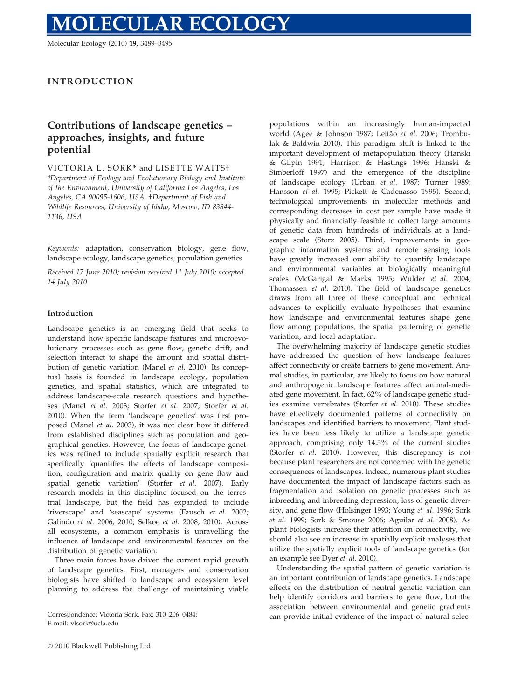# **ECULAR ECOLOGY**

Molecular Ecology (2010) 19, 3489–3495

# INTRODUCTION

# Contributions of landscape genetics – approaches, insights, and future potential

VICTORIA L. SORK\* and LISETTE WAITS+ \*Department of Ecology and Evolutionary Biology and Institute of the Environment, University of California Los Angeles, Los Angeles, CA 90095-1606, USA, †Department of Fish and Wildlife Resources, University of Idaho, Moscow, ID 83844- 1136, USA

Keywords: adaptation, conservation biology, gene flow, landscape ecology, landscape genetics, population genetics

Received 17 June 2010; revision received 11 July 2010; accepted 14 July 2010

# Introduction

Landscape genetics is an emerging field that seeks to understand how specific landscape features and microevolutionary processes such as gene flow, genetic drift, and selection interact to shape the amount and spatial distribution of genetic variation (Manel et al. 2010). Its conceptual basis is founded in landscape ecology, population genetics, and spatial statistics, which are integrated to address landscape-scale research questions and hypotheses (Manel et al. 2003; Storfer et al. 2007; Storfer et al. 2010). When the term 'landscape genetics' was first proposed (Manel et al. 2003), it was not clear how it differed from established disciplines such as population and geographical genetics. However, the focus of landscape genetics was refined to include spatially explicit research that specifically 'quantifies the effects of landscape composition, configuration and matrix quality on gene flow and spatial genetic variation' (Storfer et al. 2007). Early research models in this discipline focused on the terrestrial landscape, but the field has expanded to include 'riverscape' and 'seascape' systems (Fausch et al. 2002; Galindo et al. 2006, 2010; Selkoe et al. 2008, 2010). Across all ecosystems, a common emphasis is unravelling the influence of landscape and environmental features on the distribution of genetic variation.

Three main forces have driven the current rapid growth of landscape genetics. First, managers and conservation biologists have shifted to landscape and ecosystem level planning to address the challenge of maintaining viable

Correspondence: Victoria Sork, Fax: 310 206 0484; can provide initial evidence of the impact of natural selec-<br>E-mail: vlsork@ucla.edu

populations within an increasingly human-impacted world (Agee & Johnson 1987; Leitão et al. 2006; Trombulak & Baldwin 2010). This paradigm shift is linked to the important development of metapopulation theory (Hanski & Gilpin 1991; Harrison & Hastings 1996; Hanski & Simberloff 1997) and the emergence of the discipline of landscape ecology (Urban et al. 1987; Turner 1989; Hansson et al. 1995; Pickett & Cadenasso 1995). Second, technological improvements in molecular methods and corresponding decreases in cost per sample have made it physically and financially feasible to collect large amounts of genetic data from hundreds of individuals at a landscape scale (Storz 2005). Third, improvements in geographic information systems and remote sensing tools have greatly increased our ability to quantify landscape and environmental variables at biologically meaningful scales (McGarigal & Marks 1995; Wulder et al. 2004; Thomassen et al. 2010). The field of landscape genetics draws from all three of these conceptual and technical advances to explicitly evaluate hypotheses that examine how landscape and environmental features shape gene flow among populations, the spatial patterning of genetic variation, and local adaptation.

The overwhelming majority of landscape genetic studies have addressed the question of how landscape features affect connectivity or create barriers to gene movement. Animal studies, in particular, are likely to focus on how natural and anthropogenic landscape features affect animal-mediated gene movement. In fact, 62% of landscape genetic studies examine vertebrates (Storfer et al. 2010). These studies have effectively documented patterns of connectivity on landscapes and identified barriers to movement. Plant studies have been less likely to utilize a landscape genetic approach, comprising only 14.5% of the current studies (Storfer et al. 2010). However, this discrepancy is not because plant researchers are not concerned with the genetic consequences of landscapes. Indeed, numerous plant studies have documented the impact of landscape factors such as fragmentation and isolation on genetic processes such as inbreeding and inbreeding depression, loss of genetic diversity, and gene flow (Holsinger 1993; Young et al. 1996; Sork et al. 1999; Sork & Smouse 2006; Aguilar et al. 2008). As plant biologists increase their attention on connectivity, we should also see an increase in spatially explicit analyses that utilize the spatially explicit tools of landscape genetics (for an example see Dyer et al. 2010).

Understanding the spatial pattern of genetic variation is an important contribution of landscape genetics. Landscape effects on the distribution of neutral genetic variation can help identify corridors and barriers to gene flow, but the association between environmental and genetic gradients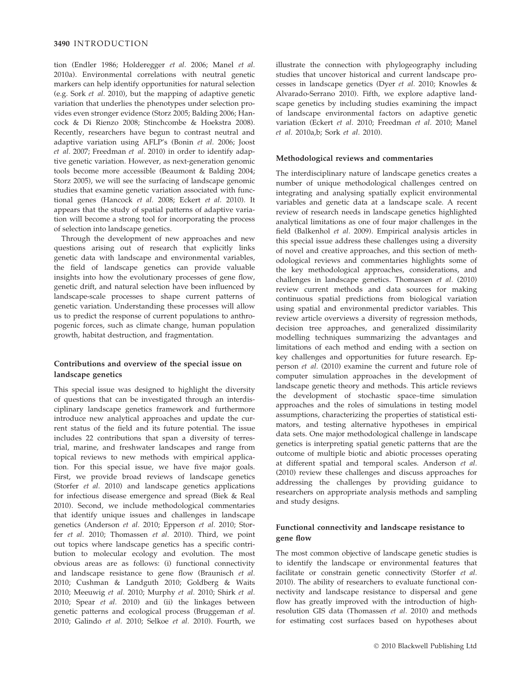tion (Endler 1986; Holderegger et al. 2006; Manel et al. 2010a). Environmental correlations with neutral genetic markers can help identify opportunities for natural selection (e.g. Sork et al. 2010), but the mapping of adaptive genetic variation that underlies the phenotypes under selection provides even stronger evidence (Storz 2005; Balding 2006; Hancock & Di Rienzo 2008; Stinchcombe & Hoekstra 2008). Recently, researchers have begun to contrast neutral and adaptive variation using AFLP's (Bonin et al. 2006; Joost et al. 2007; Freedman et al. 2010) in order to identify adaptive genetic variation. However, as next-generation genomic tools become more accessible (Beaumont & Balding 2004; Storz 2005), we will see the surfacing of landscape genomic studies that examine genetic variation associated with functional genes (Hancock et al. 2008; Eckert et al. 2010). It appears that the study of spatial patterns of adaptive variation will become a strong tool for incorporating the process of selection into landscape genetics.

Through the development of new approaches and new questions arising out of research that explicitly links genetic data with landscape and environmental variables, the field of landscape genetics can provide valuable insights into how the evolutionary processes of gene flow, genetic drift, and natural selection have been influenced by landscape-scale processes to shape current patterns of genetic variation. Understanding these processes will allow us to predict the response of current populations to anthropogenic forces, such as climate change, human population growth, habitat destruction, and fragmentation.

### Contributions and overview of the special issue on landscape genetics

This special issue was designed to highlight the diversity of questions that can be investigated through an interdisciplinary landscape genetics framework and furthermore introduce new analytical approaches and update the current status of the field and its future potential. The issue includes 22 contributions that span a diversity of terrestrial, marine, and freshwater landscapes and range from topical reviews to new methods with empirical application. For this special issue, we have five major goals. First, we provide broad reviews of landscape genetics (Storfer et al. 2010) and landscape genetics applications for infectious disease emergence and spread (Biek & Real 2010). Second, we include methodological commentaries that identify unique issues and challenges in landscape genetics (Anderson et al. 2010; Epperson et al. 2010; Storfer et al. 2010; Thomassen et al. 2010). Third, we point out topics where landscape genetics has a specific contribution to molecular ecology and evolution. The most obvious areas are as follows: (i) functional connectivity and landscape resistance to gene flow (Braunisch et al. 2010; Cushman & Landguth 2010; Goldberg & Waits 2010; Meeuwig et al. 2010; Murphy et al. 2010; Shirk et al. 2010; Spear et al. 2010) and (ii) the linkages between genetic patterns and ecological process (Bruggeman et al. 2010; Galindo et al. 2010; Selkoe et al. 2010). Fourth, we

illustrate the connection with phylogeography including studies that uncover historical and current landscape processes in landscape genetics (Dyer et al. 2010; Knowles & Alvarado-Serrano 2010). Fifth, we explore adaptive landscape genetics by including studies examining the impact of landscape environmental factors on adaptive genetic variation (Eckert et al. 2010; Freedman et al. 2010; Manel et al. 2010a,b; Sork et al. 2010).

#### Methodological reviews and commentaries

The interdisciplinary nature of landscape genetics creates a number of unique methodological challenges centred on integrating and analysing spatially explicit environmental variables and genetic data at a landscape scale. A recent review of research needs in landscape genetics highlighted analytical limitations as one of four major challenges in the field (Balkenhol et al. 2009). Empirical analysis articles in this special issue address these challenges using a diversity of novel and creative approaches, and this section of methodological reviews and commentaries highlights some of the key methodological approaches, considerations, and challenges in landscape genetics. Thomassen et al. (2010) review current methods and data sources for making continuous spatial predictions from biological variation using spatial and environmental predictor variables. This review article overviews a diversity of regression methods, decision tree approaches, and generalized dissimilarity modelling techniques summarizing the advantages and limitations of each method and ending with a section on key challenges and opportunities for future research. Epperson et al. (2010) examine the current and future role of computer simulation approaches in the development of landscape genetic theory and methods. This article reviews the development of stochastic space–time simulation approaches and the roles of simulations in testing model assumptions, characterizing the properties of statistical estimators, and testing alternative hypotheses in empirical data sets. One major methodological challenge in landscape genetics is interpreting spatial genetic patterns that are the outcome of multiple biotic and abiotic processes operating at different spatial and temporal scales. Anderson et al. (2010) review these challenges and discuss approaches for addressing the challenges by providing guidance to researchers on appropriate analysis methods and sampling and study designs.

## Functional connectivity and landscape resistance to gene flow

The most common objective of landscape genetic studies is to identify the landscape or environmental features that facilitate or constrain genetic connectivity (Storfer et al. 2010). The ability of researchers to evaluate functional connectivity and landscape resistance to dispersal and gene flow has greatly improved with the introduction of highresolution GIS data (Thomassen et al. 2010) and methods for estimating cost surfaces based on hypotheses about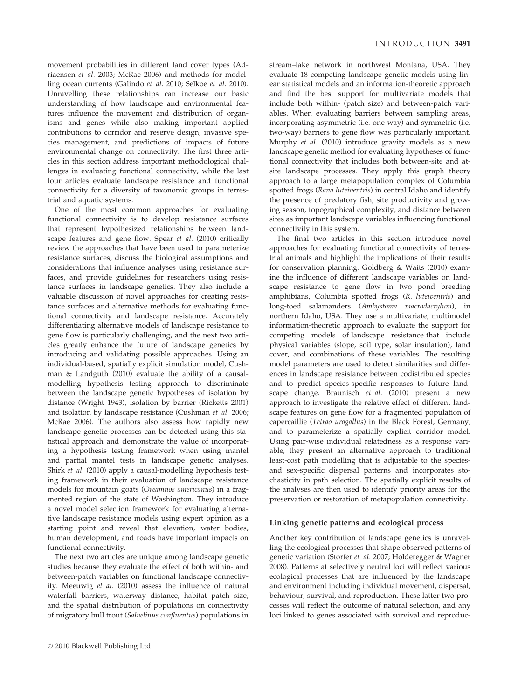movement probabilities in different land cover types (Adriaensen et al. 2003; McRae 2006) and methods for modelling ocean currents (Galindo et al. 2010; Selkoe et al. 2010). Unravelling these relationships can increase our basic understanding of how landscape and environmental features influence the movement and distribution of organisms and genes while also making important applied contributions to corridor and reserve design, invasive species management, and predictions of impacts of future environmental change on connectivity. The first three articles in this section address important methodological challenges in evaluating functional connectivity, while the last four articles evaluate landscape resistance and functional connectivity for a diversity of taxonomic groups in terrestrial and aquatic systems.

One of the most common approaches for evaluating functional connectivity is to develop resistance surfaces that represent hypothesized relationships between landscape features and gene flow. Spear et al. (2010) critically review the approaches that have been used to parameterize resistance surfaces, discuss the biological assumptions and considerations that influence analyses using resistance surfaces, and provide guidelines for researchers using resistance surfaces in landscape genetics. They also include a valuable discussion of novel approaches for creating resistance surfaces and alternative methods for evaluating functional connectivity and landscape resistance. Accurately differentiating alternative models of landscape resistance to gene flow is particularly challenging, and the next two articles greatly enhance the future of landscape genetics by introducing and validating possible approaches. Using an individual-based, spatially explicit simulation model, Cushman & Landguth (2010) evaluate the ability of a causalmodelling hypothesis testing approach to discriminate between the landscape genetic hypotheses of isolation by distance (Wright 1943), isolation by barrier (Ricketts 2001) and isolation by landscape resistance (Cushman et al. 2006; McRae 2006). The authors also assess how rapidly new landscape genetic processes can be detected using this statistical approach and demonstrate the value of incorporating a hypothesis testing framework when using mantel and partial mantel tests in landscape genetic analyses. Shirk et al. (2010) apply a causal-modelling hypothesis testing framework in their evaluation of landscape resistance models for mountain goats (Oreamnos americanus) in a fragmented region of the state of Washington. They introduce a novel model selection framework for evaluating alternative landscape resistance models using expert opinion as a starting point and reveal that elevation, water bodies, human development, and roads have important impacts on functional connectivity.

The next two articles are unique among landscape genetic studies because they evaluate the effect of both within- and between-patch variables on functional landscape connectivity. Meeuwig et al. (2010) assess the influence of natural waterfall barriers, waterway distance, habitat patch size, and the spatial distribution of populations on connectivity of migratory bull trout (Salvelinus confluentus) populations in

stream–lake network in northwest Montana, USA. They evaluate 18 competing landscape genetic models using linear statistical models and an information-theoretic approach and find the best support for multivariate models that include both within- (patch size) and between-patch variables. When evaluating barriers between sampling areas, incorporating asymmetric (i.e. one-way) and symmetric (i.e. two-way) barriers to gene flow was particularly important. Murphy et al. (2010) introduce gravity models as a new landscape genetic method for evaluating hypotheses of functional connectivity that includes both between-site and atsite landscape processes. They apply this graph theory approach to a large metapopulation complex of Columbia spotted frogs (Rana luteiventris) in central Idaho and identify the presence of predatory fish, site productivity and growing season, topographical complexity, and distance between sites as important landscape variables influencing functional connectivity in this system.

The final two articles in this section introduce novel approaches for evaluating functional connectivity of terrestrial animals and highlight the implications of their results for conservation planning. Goldberg & Waits (2010) examine the influence of different landscape variables on landscape resistance to gene flow in two pond breeding amphibians, Columbia spotted frogs (R. luteiventris) and long-toed salamanders (Ambystoma macrodactylum), in northern Idaho, USA. They use a multivariate, multimodel information-theoretic approach to evaluate the support for competing models of landscape resistance that include physical variables (slope, soil type, solar insulation), land cover, and combinations of these variables. The resulting model parameters are used to detect similarities and differences in landscape resistance between codistributed species and to predict species-specific responses to future landscape change. Braunisch et al. (2010) present a new approach to investigate the relative effect of different landscape features on gene flow for a fragmented population of capercaillie (Tetrao urogallus) in the Black Forest, Germany, and to parameterize a spatially explicit corridor model. Using pair-wise individual relatedness as a response variable, they present an alternative approach to traditional least-cost path modelling that is adjustable to the speciesand sex-specific dispersal patterns and incorporates stochasticity in path selection. The spatially explicit results of the analyses are then used to identify priority areas for the preservation or restoration of metapopulation connectivity.

#### Linking genetic patterns and ecological process

Another key contribution of landscape genetics is unravelling the ecological processes that shape observed patterns of genetic variation (Storfer et al. 2007; Holderegger & Wagner 2008). Patterns at selectively neutral loci will reflect various ecological processes that are influenced by the landscape and environment including individual movement, dispersal, behaviour, survival, and reproduction. These latter two processes will reflect the outcome of natural selection, and any loci linked to genes associated with survival and reproduc-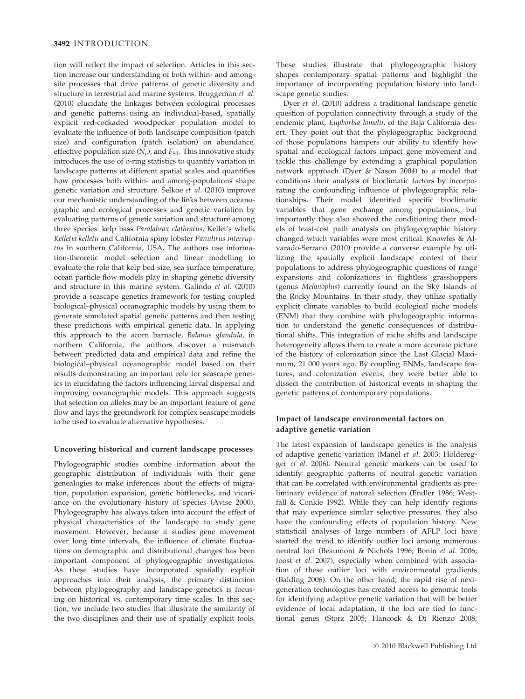### 3492 INTRODUCTION

tion will reflect the impact of selection. Articles in this section increase our understanding of both within- and amongsite processes that drive patterns of genetic diversity and structure in terrestrial and marine systems. Bruggeman et al. (2010) elucidate the linkages between ecological processes and genetic patterns using an individual-based, spatially explicit red-cockaded woodpecker population model to evaluate the influence of both landscape composition (patch size) and configuration (patch isolation) on abundance, effective population size  $(N_e)$ , and  $F_{ST}$ . This innovative study introduces the use of o-ring statistics to quantify variation in landscape patterns at different spatial scales and quantifies how processes both within- and among-populations shape genetic variation and structure. Selkoe et al. (2010) improve our mechanistic understanding of the links between oceanographic and ecological processes and genetic variation by evaluating patterns of genetic variation and structure among three species: kelp bass Paralabrax clathratus, Kellet's whelk Kelletia kelletii and California spiny lobster Panulirus interruptus in southern California, USA. The authors use information-theoretic model selection and linear modelling to evaluate the role that kelp bed size, sea surface temperature, ocean particle flow models play in shaping genetic diversity and structure in this marine system. Galindo et al. (2010) provide a seascape genetics framework for testing coupled biological–physical oceanographic models by using them to generate simulated spatial genetic patterns and then testing these predictions with empirical genetic data. In applying this approach to the acorn barnacle, Balanus glandula, in northern California, the authors discover a mismatch between predicted data and empirical data and refine the biological–physical oceanographic model based on their results demonstrating an important role for seascape genetics in elucidating the factors influencing larval dispersal and improving oceanographic models. This approach suggests that selection on alleles may be an important feature of gene flow and lays the groundwork for complex seascape models to be used to evaluate alternative hypotheses.

#### Uncovering historical and current landscape processes

Phylogeographic studies combine information about the geographic distribution of individuals with their gene genealogies to make inferences about the effects of migration, population expansion, genetic bottlenecks, and vicariance on the evolutionary history of species (Avise 2000). Phylogeography has always taken into account the effect of physical characteristics of the landscape to study gene movement. However, because it studies gene movement over long time intervals, the influence of climate fluctuations on demographic and distributional changes has been important component of phylogeographic investigations. As these studies have incorporated spatially explicit approaches into their analysis, the primary distinction between phylogeography and landscape genetics is focusing on historical vs. contemporary time scales. In this section, we include two studies that illustrate the similarity of the two disciplines and their use of spatially explicit tools.

These studies illustrate that phylogeographic history shapes contemporary spatial patterns and highlight the importance of incorporating population history into landscape genetic studies.

Dyer et al. (2010) address a traditional landscape genetic question of population connectivity through a study of the endemic plant, Euphorbia lomelii, of the Baja California desert. They point out that the phylogeographic background of those populations hampers our ability to identify how spatial and ecological factors impact gene movement and tackle this challenge by extending a graphical population network approach (Dyer & Nason 2004) to a model that conditions their analysis of bioclimatic factors by incorporating the confounding influence of phylogeographic relationships. Their model identified specific bioclimatic variables that gene exchange among populations, but importantly they also showed the conditioning their models of least-cost path analysis on phylogeographic history changed which variables were most critical. Knowles & Alvarado-Serrano (2010) provide a converse example by utilizing the spatially explicit landscape context of their populations to address phylogeographic questions of range expansions and colonizations in flightless grasshoppers (genus Melanoplus) currently found on the Sky Islands of the Rocky Mountains. In their study, they utilize spatially explicit climate variables to build ecological niche models (ENM) that they combine with phylogeographic information to understand the genetic consequences of distributional shifts. This integration of niche shifts and landscape heterogeneity allows them to create a more accurate picture of the history of colonization since the Last Glacial Maximum, 21 000 years ago. By coupling ENMs, landscape features, and colonization events, they were better able to dissect the contribution of historical events in shaping the genetic patterns of contemporary populations.

## Impact of landscape environmental factors on adaptive genetic variation

The latest expansion of landscape genetics is the analysis of adaptive genetic variation (Manel et al. 2003; Holderegger et al. 2006). Neutral genetic markers can be used to identify geographic patterns of neutral genetic variation that can be correlated with environmental gradients as preliminary evidence of natural selection (Endler 1986; Westfall & Conkle 1992). While they can help identify regions that may experience similar selective pressures, they also have the confounding effects of population history. New statistical analyses of large numbers of AFLP loci have started the trend to identify outlier loci among numerous neutral loci (Beaumont & Nichols 1996; Bonin et al. 2006; Joost et al. 2007), especially when combined with association of these outlier loci with environmental gradients (Balding 2006). On the other hand, the rapid rise of nextgeneration technologies has created access to genomic tools for identifying adaptive genetic variation that will be better evidence of local adaptation, if the loci are tied to functional genes (Storz 2005; Hancock & Di Rienzo 2008;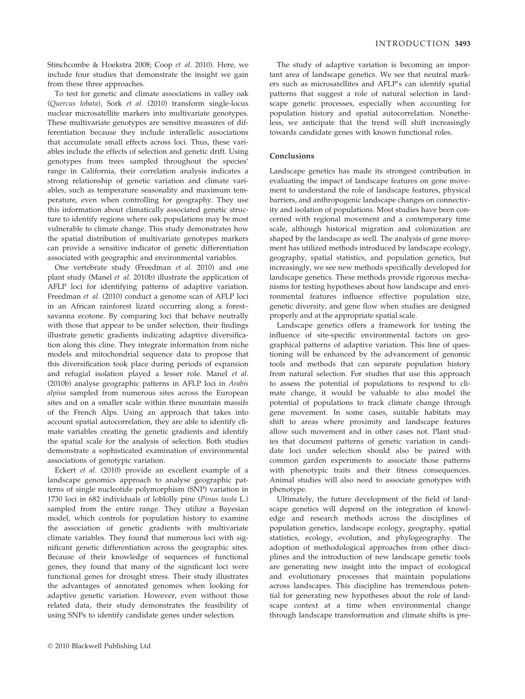Stinchcombe & Hoekstra 2008; Coop et al. 2010). Here, we include four studies that demonstrate the insight we gain from these three approaches.

To test for genetic and climate associations in valley oak (Quercus lobata), Sork et al. (2010) transform single-locus nuclear microsatellite markers into multivariate genotypes. These multivariate genotypes are sensitive measures of differentiation because they include interallelic associations that accumulate small effects across loci. Thus, these variables include the effects of selection and genetic drift. Using genotypes from trees sampled throughout the species' range in California, their correlation analysis indicates a strong relationship of genetic variation and climate variables, such as temperature seasonality and maximum temperature, even when controlling for geography. They use this information about climatically associated genetic structure to identify regions where oak populations may be most vulnerable to climate change. This study demonstrates how the spatial distribution of multivariate genotypes markers can provide a sensitive indicator of genetic differentiation associated with geographic and environmental variables.

One vertebrate study (Freedman et al. 2010) and one plant study (Manel et al. 2010b) illustrate the application of AFLP loci for identifying patterns of adaptive variation. Freedman et al. (2010) conduct a genome scan of AFLP loci in an African rainforest lizard occurring along a forest– savanna ecotone. By comparing loci that behave neutrally with those that appear to be under selection, their findings illustrate genetic gradients indicating adaptive diversification along this cline. They integrate information from niche models and mitochondrial sequence data to propose that this diversification took place during periods of expansion and refugial isolation played a lesser role. Manel et al. (2010b) analyse geographic patterns in AFLP loci in Arabis alpina sampled from numerous sites across the European sites and on a smaller scale within three mountain massifs of the French Alps. Using an approach that takes into account spatial autocorrelation, they are able to identify climate variables creating the genetic gradients and identify the spatial scale for the analysis of selection. Both studies demonstrate a sophisticated examination of environmental associations of genotypic variation.

Eckert et al. (2010) provide an excellent example of a landscape genomics approach to analyse geographic patterns of single nucleotide polymorphism (SNP) variation in 1730 loci in 682 individuals of loblolly pine (Pinus taeda L.) sampled from the entire range. They utilize a Bayesian model, which controls for population history to examine the association of genetic gradients with multivariate climate variables. They found that numerous loci with significant genetic differentiation across the geographic sites. Because of their knowledge of sequences of functional genes, they found that many of the significant loci were functional genes for drought stress. Their study illustrates the advantages of annotated genomes when looking for adaptive genetic variation. However, even without those related data, their study demonstrates the feasibility of using SNPs to identify candidate genes under selection.

The study of adaptive variation is becoming an important area of landscape genetics. We see that neutral markers such as microsatellites and AFLP's can identify spatial patterns that suggest a role of natural selection in landscape genetic processes, especially when accounting for population history and spatial autocorrelation. Nonetheless, we anticipate that the trend will shift increasingly towards candidate genes with known functional roles.

#### Conclusions

Landscape genetics has made its strongest contribution in evaluating the impact of landscape features on gene movement to understand the role of landscape features, physical barriers, and anthropogenic landscape changes on connectivity and isolation of populations. Most studies have been concerned with regional movement and a contemporary time scale, although historical migration and colonization are shaped by the landscape as well. The analysis of gene movement has utilized methods introduced by landscape ecology, geography, spatial statistics, and population genetics, but increasingly, we see new methods specifically developed for landscape genetics. These methods provide rigorous mechanisms for testing hypotheses about how landscape and environmental features influence effective population size, genetic diversity, and gene flow when studies are designed properly and at the appropriate spatial scale.

Landscape genetics offers a framework for testing the influence of site-specific environmental factors on geographical patterns of adaptive variation. This line of questioning will be enhanced by the advancement of genomic tools and methods that can separate population history from natural selection. For studies that use this approach to assess the potential of populations to respond to climate change, it would be valuable to also model the potential of populations to track climate change through gene movement. In some cases, suitable habitats may shift to areas where proximity and landscape features allow such movement and in other cases not. Plant studies that document patterns of genetic variation in candidate loci under selection should also be paired with common garden experiments to associate those patterns with phenotypic traits and their fitness consequences. Animal studies will also need to associate genotypes with phenotype.

Ultimately, the future development of the field of landscape genetics will depend on the integration of knowledge and research methods across the disciplines of population genetics, landscape ecology, geography, spatial statistics, ecology, evolution, and phylogeography. The adoption of methodological approaches from other disciplines and the introduction of new landscape genetic tools are generating new insight into the impact of ecological and evolutionary processes that maintain populations across landscapes. This discipline has tremendous potential for generating new hypotheses about the role of landscape context at a time when environmental change through landscape transformation and climate shifts is pre-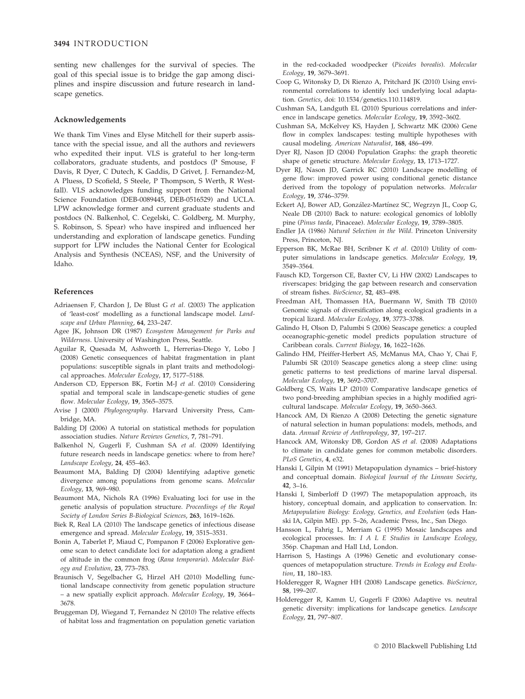### 3494 INTRODUCTION

senting new challenges for the survival of species. The goal of this special issue is to bridge the gap among disciplines and inspire discussion and future research in landscape genetics.

#### Acknowledgements

We thank Tim Vines and Elyse Mitchell for their superb assistance with the special issue, and all the authors and reviewers who expedited their input. VLS is grateful to her long-term collaborators, graduate students, and postdocs (P Smouse, F Davis, R Dyer, C Dutech, K Gaddis, D Grivet, J. Fernandez-M, A Pluess, D Scofield, S Steele, P Thompson, S Werth, R Westfall). VLS acknowledges funding support from the National Science Foundation (DEB-0089445, DEB-0516529) and UCLA. LPW acknowledge former and current graduate students and postdocs (N. Balkenhol, C. Cegelski, C. Goldberg, M. Murphy, S. Robinson, S. Spear) who have inspired and influenced her understanding and exploration of landscape genetics. Funding support for LPW includes the National Center for Ecological Analysis and Synthesis (NCEAS), NSF, and the University of Idaho.

#### References

- Adriaensen F, Chardon J, De Blust G et al. (2003) The application of 'least-cost' modelling as a functional landscape model. Landscape and Urban Planning, 64, 233–247.
- Agee JK, Johnson DR (1987) Ecosystem Management for Parks and Wilderness. University of Washington Press, Seattle.
- Aguilar R, Quesada M, Ashworth L, Herrerias-Diego Y, Lobo J (2008) Genetic consequences of habitat fragmentation in plant populations: susceptible signals in plant traits and methodological approaches. Molecular Ecology, 17, 5177–5188.
- Anderson CD, Epperson BK, Fortin M-J et al. (2010) Considering spatial and temporal scale in landscape-genetic studies of gene flow. Molecular Ecology, 19, 3565–3575.
- Avise J (2000) Phylogeography. Harvard University Press, Cambridge, MA.
- Balding DJ (2006) A tutorial on statistical methods for population association studies. Nature Reviews Genetics, 7, 781–791.
- Balkenhol N, Gugerli F, Cushman SA et al. (2009) Identifying future research needs in landscape genetics: where to from here? Landscape Ecology, 24, 455–463.
- Beaumont MA, Balding DJ (2004) Identifying adaptive genetic divergence among populations from genome scans. Molecular Ecology, 13, 969–980.
- Beaumont MA, Nichols RA (1996) Evaluating loci for use in the genetic analysis of population structure. Proceedings of the Royal Society of London Series B-Biological Sciences, 263, 1619–1626.
- Biek R, Real LA (2010) The landscape genetics of infectious disease emergence and spread. Molecular Ecology, 19, 3515–3531.
- Bonin A, Taberlet P, Miaud C, Pompanon F (2006) Explorative genome scan to detect candidate loci for adaptation along a gradient of altitude in the common frog (Rana temporaria). Molecular Biology and Evolution, 23, 773–783.
- Braunisch V, Segelbacher G, Hirzel AH (2010) Modelling functional landscape connectivity from genetic population structure – a new spatially explicit approach. Molecular Ecology, 19, 3664– 3678.
- Bruggeman DJ, Wiegand T, Fernandez N (2010) The relative effects of habitat loss and fragmentation on population genetic variation

in the red-cockaded woodpecker (Picoides borealis). Molecular Ecology, 19, 3679–3691.

- Coop G, Witonsky D, Di Rienzo A, Pritchard JK (2010) Using environmental correlations to identify loci underlying local adaptation. Genetics, doi: 10.1534/genetics.110.114819.
- Cushman SA, Landguth EL (2010) Spurious correlations and inference in landscape genetics. Molecular Ecology, 19, 3592–3602.
- Cushman SA, McKelvey KS, Hayden J, Schwartz MK (2006) Gene flow in complex landscapes: testing multiple hypotheses with causal modeling. American Naturalist, 168, 486–499.
- Dyer RJ, Nason JD (2004) Population Graphs: the graph theoretic shape of genetic structure. Molecular Ecology, 13, 1713–1727.
- Dyer RJ, Nason JD, Garrick RC (2010) Landscape modelling of gene flow: improved power using conditional genetic distance derived from the topology of population networks. Molecular Ecology, 19, 3746–3759.
- Eckert AJ, Bower AD, González-Martínez SC, Wegrzyn JL, Coop G, Neale DB (2010) Back to nature: ecological genomics of loblolly pine (Pinus taeda, Pinaceae). Molecular Ecology, 19, 3789–3805.
- Endler JA (1986) Natural Selection in the Wild. Princeton University Press, Princeton, NJ.
- Epperson BK, McRae BH, Scribner K et al. (2010) Utility of computer simulations in landscape genetics. Molecular Ecology, 19, 3549–3564.
- Fausch KD, Torgerson CE, Baxter CV, Li HW (2002) Landscapes to riverscapes: bridging the gap between research and conservation of stream fishes. BioScience, 52, 483–498.
- Freedman AH, Thomassen HA, Buermann W, Smith TB (2010) Genomic signals of diversification along ecological gradients in a tropical lizard. Molecular Ecology, 19, 3773–3788.
- Galindo H, Olson D, Palumbi S (2006) Seascape genetics: a coupled oceanographic-genetic model predicts population structure of Caribbean corals. Current Biology, 16, 1622–1626.
- Galindo HM, Pfeiffer-Herbert AS, McManus MA, Chao Y, Chai F, Palumbi SR (2010) Seascape genetics along a steep cline: using genetic patterns to test predictions of marine larval dispersal. Molecular Ecology, 19, 3692–3707.
- Goldberg CS, Waits LP (2010) Comparative landscape genetics of two pond-breeding amphibian species in a highly modified agricultural landscape. Molecular Ecology, 19, 3650–3663.
- Hancock AM, Di Rienzo A (2008) Detecting the genetic signature of natural selection in human populations: models, methods, and data. Annual Review of Anthropology, 37, 197–217.
- Hancock AM, Witonsky DB, Gordon AS et al. (2008) Adaptations to climate in candidate genes for common metabolic disorders. PLoS Genetics, 4, e32.
- Hanski I, Gilpin M (1991) Metapopulation dynamics brief-history and conceptual domain. Biological Journal of the Linnean Society, 42, 3–16.
- Hanski I, Simberloff D (1997) The metapopulation approach, its history, conceptual domain, and application to conservation. In: Metapopulation Biology: Ecology, Genetics, and Evolution (eds Hanski IA, Gilpin ME). pp. 5–26, Academic Press, Inc., San Diego.
- Hansson L, Fahrig L, Merriam G (1995) Mosaic landscapes and ecological processes. In: I A L E Studies in Landscape Ecology, 356p. Chapman and Hall Ltd, London.
- Harrison S, Hastings A (1996) Genetic and evolutionary consequences of metapopulation structure. Trends in Ecology and Evolution, 11, 180–183.
- Holderegger R, Wagner HH (2008) Landscape genetics. BioScience, 58, 199–207.
- Holderegger R, Kamm U, Gugerli F (2006) Adaptive vs. neutral genetic diversity: implications for landscape genetics. Landscape Ecology, 21, 797–807.